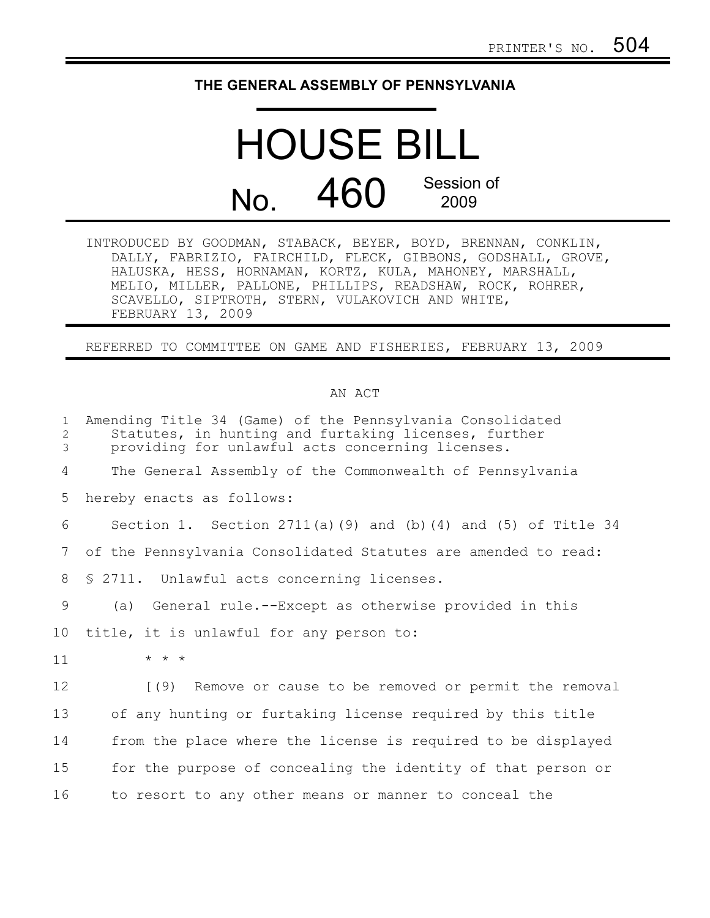## **THE GENERAL ASSEMBLY OF PENNSYLVANIA**

## HOUSE BILL No. 460 Session of 2009

INTRODUCED BY GOODMAN, STABACK, BEYER, BOYD, BRENNAN, CONKLIN, DALLY, FABRIZIO, FAIRCHILD, FLECK, GIBBONS, GODSHALL, GROVE, HALUSKA, HESS, HORNAMAN, KORTZ, KULA, MAHONEY, MARSHALL, MELIO, MILLER, PALLONE, PHILLIPS, READSHAW, ROCK, ROHRER, SCAVELLO, SIPTROTH, STERN, VULAKOVICH AND WHITE, FEBRUARY 13, 2009

REFERRED TO COMMITTEE ON GAME AND FISHERIES, FEBRUARY 13, 2009

## AN ACT

| $\mathbf{1}$<br>2<br>3 | Amending Title 34 (Game) of the Pennsylvania Consolidated<br>Statutes, in hunting and furtaking licenses, further<br>providing for unlawful acts concerning licenses. |
|------------------------|-----------------------------------------------------------------------------------------------------------------------------------------------------------------------|
| 4                      | The General Assembly of the Commonwealth of Pennsylvania                                                                                                              |
| 5                      | hereby enacts as follows:                                                                                                                                             |
| 6                      | Section 1. Section 2711(a)(9) and (b)(4) and (5) of Title 34                                                                                                          |
| 7                      | of the Pennsylvania Consolidated Statutes are amended to read:                                                                                                        |
| 8                      | \$ 2711. Unlawful acts concerning licenses.                                                                                                                           |
| 9                      | General rule.--Except as otherwise provided in this<br>(a)                                                                                                            |
| 10                     | title, it is unlawful for any person to:                                                                                                                              |
| 11                     | $* * *$                                                                                                                                                               |
| 12                     | Remove or cause to be removed or permit the removal<br>(9)                                                                                                            |
| 13                     | of any hunting or furtaking license required by this title                                                                                                            |
| 14                     | from the place where the license is required to be displayed                                                                                                          |
| 15                     | for the purpose of concealing the identity of that person or                                                                                                          |
| 16                     | to resort to any other means or manner to conceal the                                                                                                                 |